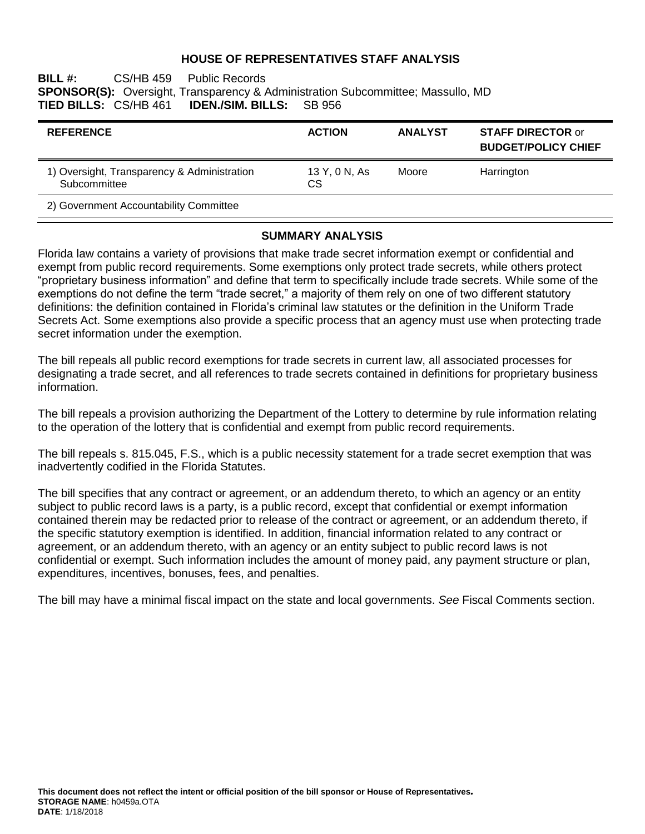### **HOUSE OF REPRESENTATIVES STAFF ANALYSIS**

**BILL #:** CS/HB 459 Public Records **SPONSOR(S):** Oversight, Transparency & Administration Subcommittee; Massullo, MD **IDEN./SIM. BILLS:** SB 956

| <b>REFERENCE</b>                                            | <b>ACTION</b>       | <b>ANALYST</b> | <b>STAFF DIRECTOR or</b><br><b>BUDGET/POLICY CHIEF</b> |
|-------------------------------------------------------------|---------------------|----------------|--------------------------------------------------------|
| 1) Oversight, Transparency & Administration<br>Subcommittee | 13 Y, 0 N, As<br>СS | Moore          | Harrington                                             |
| 2) Government Accountability Committee                      |                     |                |                                                        |

#### **SUMMARY ANALYSIS**

Florida law contains a variety of provisions that make trade secret information exempt or confidential and exempt from public record requirements. Some exemptions only protect trade secrets, while others protect "proprietary business information" and define that term to specifically include trade secrets. While some of the exemptions do not define the term "trade secret," a majority of them rely on one of two different statutory definitions: the definition contained in Florida's criminal law statutes or the definition in the Uniform Trade Secrets Act. Some exemptions also provide a specific process that an agency must use when protecting trade secret information under the exemption.

The bill repeals all public record exemptions for trade secrets in current law, all associated processes for designating a trade secret, and all references to trade secrets contained in definitions for proprietary business information.

The bill repeals a provision authorizing the Department of the Lottery to determine by rule information relating to the operation of the lottery that is confidential and exempt from public record requirements.

The bill repeals s. 815.045, F.S., which is a public necessity statement for a trade secret exemption that was inadvertently codified in the Florida Statutes.

The bill specifies that any contract or agreement, or an addendum thereto, to which an agency or an entity subject to public record laws is a party, is a public record, except that confidential or exempt information contained therein may be redacted prior to release of the contract or agreement, or an addendum thereto, if the specific statutory exemption is identified. In addition, financial information related to any contract or agreement, or an addendum thereto, with an agency or an entity subject to public record laws is not confidential or exempt. Such information includes the amount of money paid, any payment structure or plan, expenditures, incentives, bonuses, fees, and penalties.

The bill may have a minimal fiscal impact on the state and local governments. *See* Fiscal Comments section.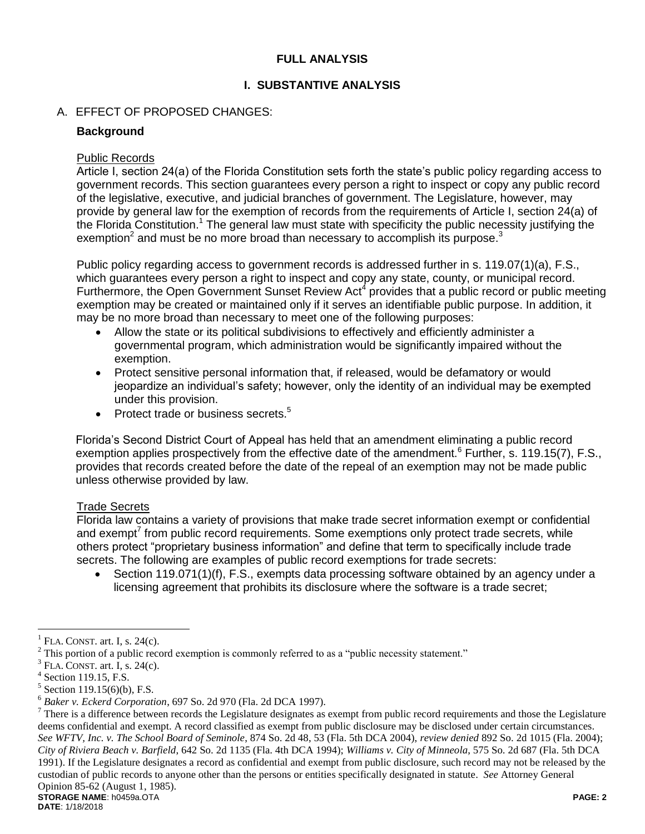# **FULL ANALYSIS**

# **I. SUBSTANTIVE ANALYSIS**

# A. EFFECT OF PROPOSED CHANGES:

# **Background**

### Public Records

Article I, section 24(a) of the Florida Constitution sets forth the state's public policy regarding access to government records. This section guarantees every person a right to inspect or copy any public record of the legislative, executive, and judicial branches of government. The Legislature, however, may provide by general law for the exemption of records from the requirements of Article I, section 24(a) of the Florida Constitution.<sup>1</sup> The general law must state with specificity the public necessity justifying the exemption<sup>2</sup> and must be no more broad than necessary to accomplish its purpose.<sup>3</sup>

Public policy regarding access to government records is addressed further in s. 119.07(1)(a), F.S., which guarantees every person a right to inspect and copy any state, county, or municipal record. Furthermore, the Open Government Sunset Review Act<sup>4</sup> provides that a public record or public meeting exemption may be created or maintained only if it serves an identifiable public purpose. In addition, it may be no more broad than necessary to meet one of the following purposes:

- Allow the state or its political subdivisions to effectively and efficiently administer a governmental program, which administration would be significantly impaired without the exemption.
- Protect sensitive personal information that, if released, would be defamatory or would jeopardize an individual's safety; however, only the identity of an individual may be exempted under this provision.
- Protect trade or business secrets.<sup>5</sup>

Florida's Second District Court of Appeal has held that an amendment eliminating a public record exemption applies prospectively from the effective date of the amendment.<sup>6</sup> Further, s. 119.15(7), F.S., provides that records created before the date of the repeal of an exemption may not be made public unless otherwise provided by law.

#### Trade Secrets

Florida law contains a variety of provisions that make trade secret information exempt or confidential and exempt<sup>7</sup> from public record requirements. Some exemptions only protect trade secrets, while others protect "proprietary business information" and define that term to specifically include trade secrets. The following are examples of public record exemptions for trade secrets:

• Section 119.071(1)(f), F.S., exempts data processing software obtained by an agency under a licensing agreement that prohibits its disclosure where the software is a trade secret;

 $\overline{a}$ 

<sup>1</sup> FLA. CONST. art. I, s. 24(c).

 $2$  This portion of a public record exemption is commonly referred to as a "public necessity statement."

<sup>3</sup> FLA. CONST. art. I, s. 24(c).

<sup>4</sup> Section 119.15, F.S.

<sup>5</sup> Section 119.15(6)(b), F.S.

<sup>6</sup> *Baker v. Eckerd Corporation*, 697 So. 2d 970 (Fla. 2d DCA 1997).

**STORAGE NAME**: h0459a.OTA **PAGE: 2**  $^7$  There is a difference between records the Legislature designates as exempt from public record requirements and those the Legislature deems confidential and exempt. A record classified as exempt from public disclosure may be disclosed under certain circumstances. *See WFTV, Inc. v. The School Board of Seminole*, 874 So. 2d 48, 53 (Fla. 5th DCA 2004), *review denied* 892 So. 2d 1015 (Fla. 2004); *City of Riviera Beach v. Barfield*, 642 So. 2d 1135 (Fla. 4th DCA 1994); *Williams v. City of Minneola*, 575 So. 2d 687 (Fla. 5th DCA 1991). If the Legislature designates a record as confidential and exempt from public disclosure, such record may not be released by the custodian of public records to anyone other than the persons or entities specifically designated in statute. *See* Attorney General Opinion 85-62 (August 1, 1985).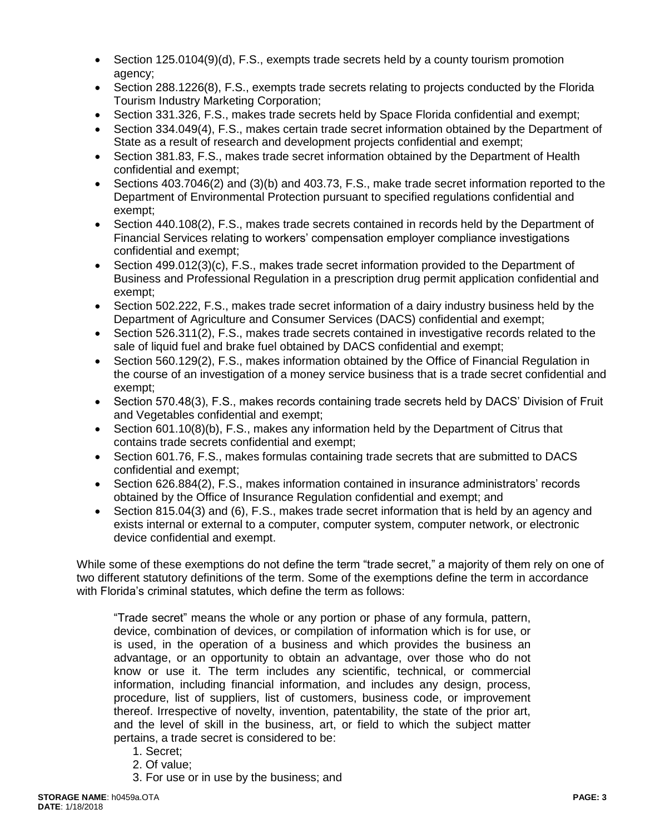- $\bullet$  Section 125.0104(9)(d), F.S., exempts trade secrets held by a county tourism promotion agency;
- Section 288.1226(8), F.S., exempts trade secrets relating to projects conducted by the Florida Tourism Industry Marketing Corporation;
- Section 331.326, F.S., makes trade secrets held by Space Florida confidential and exempt;
- Section 334.049(4), F.S., makes certain trade secret information obtained by the Department of State as a result of research and development projects confidential and exempt;
- Section 381.83, F.S., makes trade secret information obtained by the Department of Health confidential and exempt;
- Sections 403.7046(2) and (3)(b) and 403.73, F.S., make trade secret information reported to the Department of Environmental Protection pursuant to specified regulations confidential and exempt;
- Section 440.108(2), F.S., makes trade secrets contained in records held by the Department of Financial Services relating to workers' compensation employer compliance investigations confidential and exempt;
- Section 499.012(3)(c), F.S., makes trade secret information provided to the Department of Business and Professional Regulation in a prescription drug permit application confidential and exempt;
- Section 502.222, F.S., makes trade secret information of a dairy industry business held by the Department of Agriculture and Consumer Services (DACS) confidential and exempt;
- Section 526.311(2), F.S., makes trade secrets contained in investigative records related to the sale of liquid fuel and brake fuel obtained by DACS confidential and exempt;
- Section 560.129(2), F.S., makes information obtained by the Office of Financial Regulation in the course of an investigation of a money service business that is a trade secret confidential and exempt;
- Section 570.48(3), F.S., makes records containing trade secrets held by DACS' Division of Fruit and Vegetables confidential and exempt;
- Section 601.10(8)(b), F.S., makes any information held by the Department of Citrus that contains trade secrets confidential and exempt;
- Section 601.76, F.S., makes formulas containing trade secrets that are submitted to DACS confidential and exempt;
- Section 626.884(2), F.S., makes information contained in insurance administrators' records obtained by the Office of Insurance Regulation confidential and exempt; and
- Section 815.04(3) and (6), F.S., makes trade secret information that is held by an agency and exists internal or external to a computer, computer system, computer network, or electronic device confidential and exempt.

While some of these exemptions do not define the term "trade secret," a majority of them rely on one of two different statutory definitions of the term. Some of the exemptions define the term in accordance with Florida's criminal statutes, which define the term as follows:

"Trade secret" means the whole or any portion or phase of any formula, pattern, device, combination of devices, or compilation of information which is for use, or is used, in the operation of a business and which provides the business an advantage, or an opportunity to obtain an advantage, over those who do not know or use it. The term includes any scientific, technical, or commercial information, including financial information, and includes any design, process, procedure, list of suppliers, list of customers, business code, or improvement thereof. Irrespective of novelty, invention, patentability, the state of the prior art, and the level of skill in the business, art, or field to which the subject matter pertains, a trade secret is considered to be:

- 1. Secret;
- 2. Of value;
- 3. For use or in use by the business; and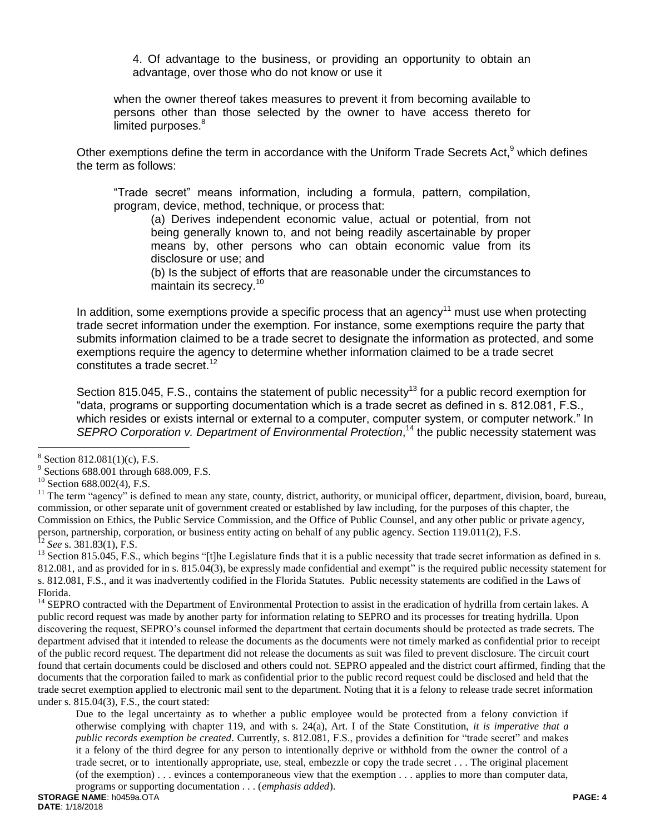4. Of advantage to the business, or providing an opportunity to obtain an advantage, over those who do not know or use it

when the owner thereof takes measures to prevent it from becoming available to persons other than those selected by the owner to have access thereto for limited purposes.<sup>8</sup>

Other exemptions define the term in accordance with the Uniform Trade Secrets Act,<sup>9</sup> which defines the term as follows:

"Trade secret" means information, including a formula, pattern, compilation, program, device, method, technique, or process that:

(a) Derives independent economic value, actual or potential, from not being generally known to, and not being readily ascertainable by proper means by, other persons who can obtain economic value from its disclosure or use; and

(b) Is the subject of efforts that are reasonable under the circumstances to maintain its secrecy. 10

In addition, some exemptions provide a specific process that an agency<sup>11</sup> must use when protecting trade secret information under the exemption. For instance, some exemptions require the party that submits information claimed to be a trade secret to designate the information as protected, and some exemptions require the agency to determine whether information claimed to be a trade secret constitutes a trade secret.<sup>12</sup>

Section 815.045, F.S., contains the statement of public necessity<sup>13</sup> for a public record exemption for "data, programs or supporting documentation which is a trade secret as defined in s. 812.081, F.S., which resides or exists internal or external to a computer, computer system, or computer network." In SEPRO Corporation v. Department of Environmental Protection,<sup>14</sup> the public necessity statement was

 $\overline{a}$ 

<sup>14</sup> SEPRO contracted with the Department of Environmental Protection to assist in the eradication of hydrilla from certain lakes. A public record request was made by another party for information relating to SEPRO and its processes for treating hydrilla. Upon discovering the request, SEPRO's counsel informed the department that certain documents should be protected as trade secrets. The department advised that it intended to release the documents as the documents were not timely marked as confidential prior to receipt of the public record request. The department did not release the documents as suit was filed to prevent disclosure. The circuit court found that certain documents could be disclosed and others could not. SEPRO appealed and the district court affirmed, finding that the documents that the corporation failed to mark as confidential prior to the public record request could be disclosed and held that the trade secret exemption applied to electronic mail sent to the department. Noting that it is a felony to release trade secret information under s. 815.04(3), F.S., the court stated:

Due to the legal uncertainty as to whether a public employee would be protected from a felony conviction if otherwise complying with chapter 119, and with s. 24(a), Art. I of the State Constitution, *it is imperative that a public records exemption be created*. Currently, s. 812.081, F.S., provides a definition for "trade secret" and makes it a felony of the third degree for any person to intentionally deprive or withhold from the owner the control of a trade secret, or to intentionally appropriate, use, steal, embezzle or copy the trade secret . . . The original placement (of the exemption) . . . evinces a contemporaneous view that the exemption . . . applies to more than computer data, programs or supporting documentation . . . (*emphasis added*).

 $8$  Section 812.081(1)(c), F.S.

<sup>9</sup> Sections 688.001 through 688.009, F.S.

<sup>&</sup>lt;sup>10</sup> Section 688.002(4), F.S.

<sup>&</sup>lt;sup>11</sup> The term "agency" is defined to mean any state, county, district, authority, or municipal officer, department, division, board, bureau, commission, or other separate unit of government created or established by law including, for the purposes of this chapter, the Commission on Ethics, the Public Service Commission, and the Office of Public Counsel, and any other public or private agency, person, partnership, corporation, or business entity acting on behalf of any public agency. Section 119.011(2), F.S. <sup>12</sup> *See* s. 381.83(1), F.S.

<sup>&</sup>lt;sup>13</sup> Section 815.045, F.S., which begins "[t]he Legislature finds that it is a public necessity that trade secret information as defined in s. 812.081, and as provided for in s. 815.04(3), be expressly made confidential and exempt" is the required public necessity statement for s. 812.081, F.S., and it was inadvertently codified in the Florida Statutes. Public necessity statements are codified in the Laws of Florida.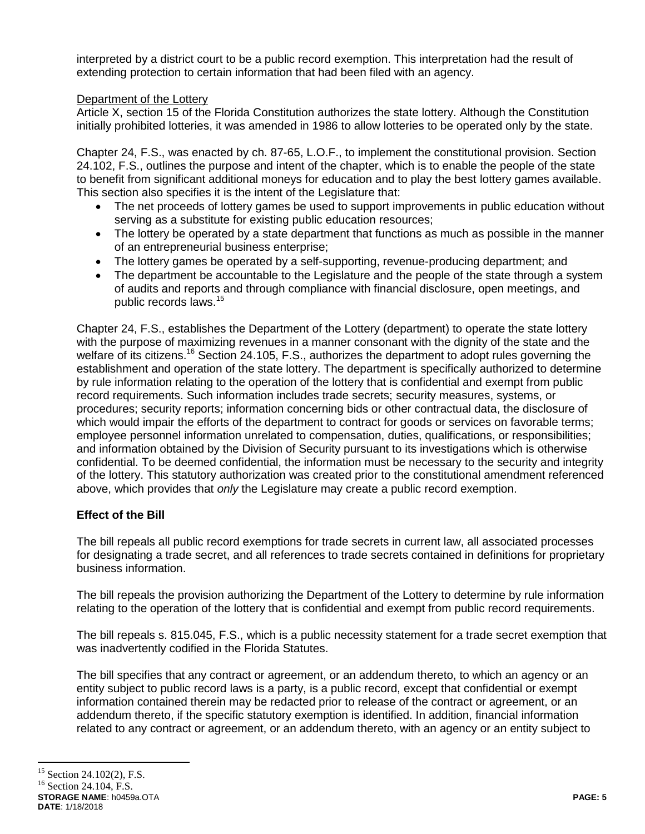interpreted by a district court to be a public record exemption. This interpretation had the result of extending protection to certain information that had been filed with an agency.

# Department of the Lottery

Article X, section 15 of the Florida Constitution authorizes the state lottery. Although the Constitution initially prohibited lotteries, it was amended in 1986 to allow lotteries to be operated only by the state.

Chapter 24, F.S., was enacted by ch. 87-65, L.O.F., to implement the constitutional provision. Section 24.102, F.S., outlines the purpose and intent of the chapter, which is to enable the people of the state to benefit from significant additional moneys for education and to play the best lottery games available. This section also specifies it is the intent of the Legislature that:

- The net proceeds of lottery games be used to support improvements in public education without serving as a substitute for existing public education resources;
- The lottery be operated by a state department that functions as much as possible in the manner of an entrepreneurial business enterprise;
- The lottery games be operated by a self-supporting, revenue-producing department; and
- The department be accountable to the Legislature and the people of the state through a system of audits and reports and through compliance with financial disclosure, open meetings, and public records laws.<sup>15</sup>

Chapter 24, F.S., establishes the Department of the Lottery (department) to operate the state lottery with the purpose of maximizing revenues in a manner consonant with the dignity of the state and the welfare of its citizens.<sup>16</sup> Section 24.105, F.S., authorizes the department to adopt rules governing the establishment and operation of the state lottery. The department is specifically authorized to determine by rule information relating to the operation of the lottery that is confidential and exempt from public record requirements. Such information includes trade secrets; security measures, systems, or procedures; security reports; information concerning bids or other contractual data, the disclosure of which would impair the efforts of the department to contract for goods or services on favorable terms; employee personnel information unrelated to compensation, duties, qualifications, or responsibilities; and information obtained by the Division of Security pursuant to its investigations which is otherwise confidential. To be deemed confidential, the information must be necessary to the security and integrity of the lottery. This statutory authorization was created prior to the constitutional amendment referenced above, which provides that *only* the Legislature may create a public record exemption.

# **Effect of the Bill**

The bill repeals all public record exemptions for trade secrets in current law, all associated processes for designating a trade secret, and all references to trade secrets contained in definitions for proprietary business information.

The bill repeals the provision authorizing the Department of the Lottery to determine by rule information relating to the operation of the lottery that is confidential and exempt from public record requirements.

The bill repeals s. 815.045, F.S., which is a public necessity statement for a trade secret exemption that was inadvertently codified in the Florida Statutes.

The bill specifies that any contract or agreement, or an addendum thereto, to which an agency or an entity subject to public record laws is a party, is a public record, except that confidential or exempt information contained therein may be redacted prior to release of the contract or agreement, or an addendum thereto, if the specific statutory exemption is identified. In addition, financial information related to any contract or agreement, or an addendum thereto, with an agency or an entity subject to

 $\overline{a}$ 

<sup>&</sup>lt;sup>15</sup> Section 24.102(2), F.S.

**STORAGE NAME**: h0459a.OTA **PAGE: 5**  $^{16}$  Section 24.104, F.S.

**DATE**: 1/18/2018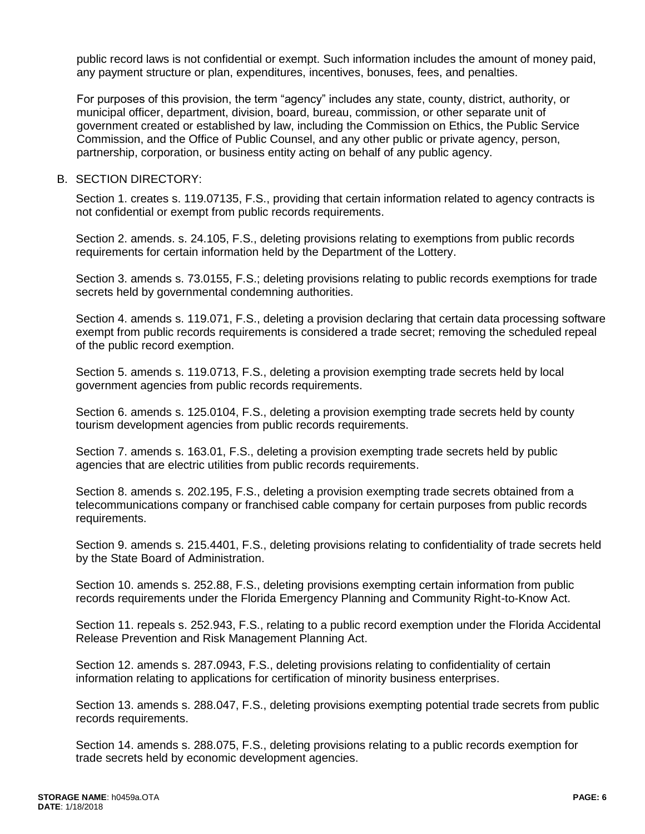public record laws is not confidential or exempt. Such information includes the amount of money paid, any payment structure or plan, expenditures, incentives, bonuses, fees, and penalties.

For purposes of this provision, the term "agency" includes any state, county, district, authority, or municipal officer, department, division, board, bureau, commission, or other separate unit of government created or established by law, including the Commission on Ethics, the Public Service Commission, and the Office of Public Counsel, and any other public or private agency, person, partnership, corporation, or business entity acting on behalf of any public agency.

### B. SECTION DIRECTORY:

Section 1. creates s. 119.07135, F.S., providing that certain information related to agency contracts is not confidential or exempt from public records requirements.

Section 2. amends. s. 24.105, F.S., deleting provisions relating to exemptions from public records requirements for certain information held by the Department of the Lottery.

Section 3. amends s. 73.0155, F.S.; deleting provisions relating to public records exemptions for trade secrets held by governmental condemning authorities.

Section 4. amends s. 119.071, F.S., deleting a provision declaring that certain data processing software exempt from public records requirements is considered a trade secret; removing the scheduled repeal of the public record exemption.

Section 5. amends s. 119.0713, F.S., deleting a provision exempting trade secrets held by local government agencies from public records requirements.

Section 6. amends s. 125.0104, F.S., deleting a provision exempting trade secrets held by county tourism development agencies from public records requirements.

Section 7. amends s. 163.01, F.S., deleting a provision exempting trade secrets held by public agencies that are electric utilities from public records requirements.

Section 8. amends s. 202.195, F.S., deleting a provision exempting trade secrets obtained from a telecommunications company or franchised cable company for certain purposes from public records requirements.

Section 9. amends s. 215.4401, F.S., deleting provisions relating to confidentiality of trade secrets held by the State Board of Administration.

Section 10. amends s. 252.88, F.S., deleting provisions exempting certain information from public records requirements under the Florida Emergency Planning and Community Right-to-Know Act.

Section 11. repeals s. 252.943, F.S., relating to a public record exemption under the Florida Accidental Release Prevention and Risk Management Planning Act.

Section 12. amends s. 287.0943, F.S., deleting provisions relating to confidentiality of certain information relating to applications for certification of minority business enterprises.

Section 13. amends s. 288.047, F.S., deleting provisions exempting potential trade secrets from public records requirements.

Section 14. amends s. 288.075, F.S., deleting provisions relating to a public records exemption for trade secrets held by economic development agencies.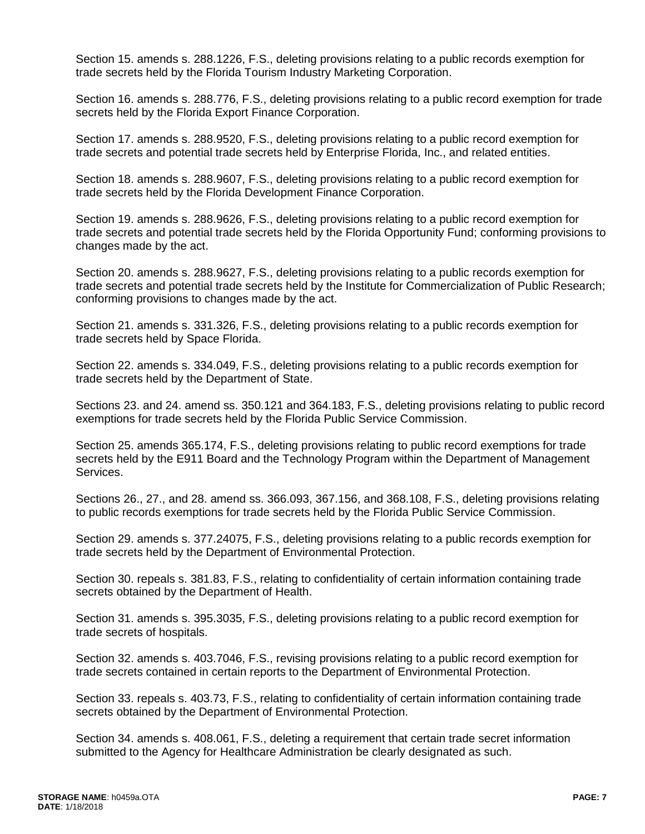Section 15. amends s. 288.1226, F.S., deleting provisions relating to a public records exemption for trade secrets held by the Florida Tourism Industry Marketing Corporation.

Section 16. amends s. 288.776, F.S., deleting provisions relating to a public record exemption for trade secrets held by the Florida Export Finance Corporation.

Section 17. amends s. 288.9520, F.S., deleting provisions relating to a public record exemption for trade secrets and potential trade secrets held by Enterprise Florida, Inc., and related entities.

Section 18. amends s. 288.9607, F.S., deleting provisions relating to a public record exemption for trade secrets held by the Florida Development Finance Corporation.

Section 19. amends s. 288.9626, F.S., deleting provisions relating to a public record exemption for trade secrets and potential trade secrets held by the Florida Opportunity Fund; conforming provisions to changes made by the act.

Section 20. amends s. 288.9627, F.S., deleting provisions relating to a public records exemption for trade secrets and potential trade secrets held by the Institute for Commercialization of Public Research; conforming provisions to changes made by the act.

Section 21. amends s. 331.326, F.S., deleting provisions relating to a public records exemption for trade secrets held by Space Florida.

Section 22. amends s. 334.049, F.S., deleting provisions relating to a public records exemption for trade secrets held by the Department of State.

Sections 23. and 24. amend ss. 350.121 and 364.183, F.S., deleting provisions relating to public record exemptions for trade secrets held by the Florida Public Service Commission.

Section 25. amends 365.174, F.S., deleting provisions relating to public record exemptions for trade secrets held by the E911 Board and the Technology Program within the Department of Management Services.

Sections 26., 27., and 28. amend ss. 366.093, 367.156, and 368.108, F.S., deleting provisions relating to public records exemptions for trade secrets held by the Florida Public Service Commission.

Section 29. amends s. 377.24075, F.S., deleting provisions relating to a public records exemption for trade secrets held by the Department of Environmental Protection.

Section 30. repeals s. 381.83, F.S., relating to confidentiality of certain information containing trade secrets obtained by the Department of Health.

Section 31. amends s. 395.3035, F.S., deleting provisions relating to a public record exemption for trade secrets of hospitals.

Section 32. amends s. 403.7046, F.S., revising provisions relating to a public record exemption for trade secrets contained in certain reports to the Department of Environmental Protection.

Section 33. repeals s. 403.73, F.S., relating to confidentiality of certain information containing trade secrets obtained by the Department of Environmental Protection.

Section 34. amends s. 408.061, F.S., deleting a requirement that certain trade secret information submitted to the Agency for Healthcare Administration be clearly designated as such.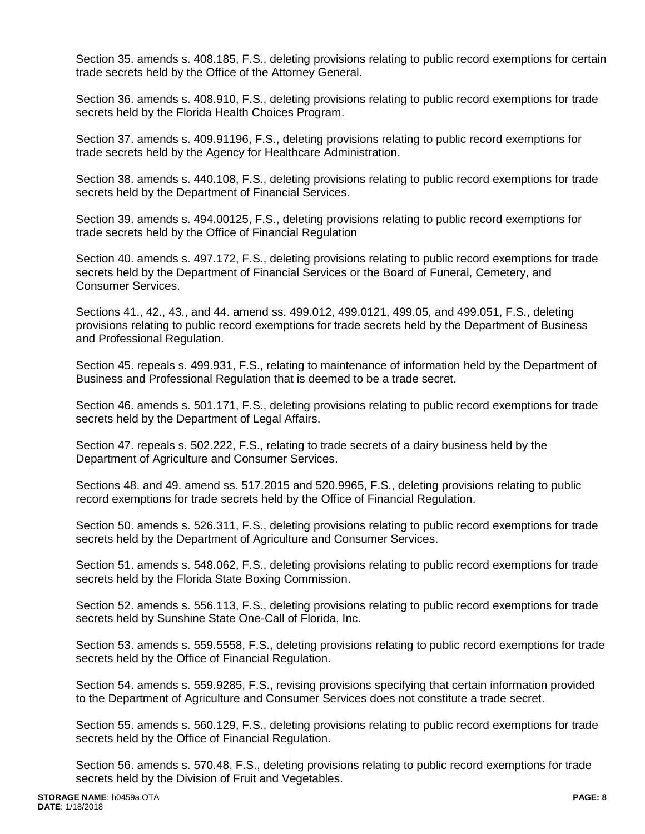Section 35. amends s. 408.185, F.S., deleting provisions relating to public record exemptions for certain trade secrets held by the Office of the Attorney General.

Section 36. amends s. 408.910, F.S., deleting provisions relating to public record exemptions for trade secrets held by the Florida Health Choices Program.

Section 37. amends s. 409.91196, F.S., deleting provisions relating to public record exemptions for trade secrets held by the Agency for Healthcare Administration.

Section 38. amends s. 440.108, F.S., deleting provisions relating to public record exemptions for trade secrets held by the Department of Financial Services.

Section 39. amends s. 494.00125, F.S., deleting provisions relating to public record exemptions for trade secrets held by the Office of Financial Regulation

Section 40. amends s. 497.172, F.S., deleting provisions relating to public record exemptions for trade secrets held by the Department of Financial Services or the Board of Funeral, Cemetery, and Consumer Services.

Sections 41., 42., 43., and 44. amend ss. 499.012, 499.0121, 499.05, and 499.051, F.S., deleting provisions relating to public record exemptions for trade secrets held by the Department of Business and Professional Regulation.

Section 45. repeals s. 499.931, F.S., relating to maintenance of information held by the Department of Business and Professional Regulation that is deemed to be a trade secret.

Section 46. amends s. 501.171, F.S., deleting provisions relating to public record exemptions for trade secrets held by the Department of Legal Affairs.

Section 47. repeals s. 502.222, F.S., relating to trade secrets of a dairy business held by the Department of Agriculture and Consumer Services.

Sections 48. and 49. amend ss. 517.2015 and 520.9965, F.S., deleting provisions relating to public record exemptions for trade secrets held by the Office of Financial Regulation.

Section 50. amends s. 526.311, F.S., deleting provisions relating to public record exemptions for trade secrets held by the Department of Agriculture and Consumer Services.

Section 51. amends s. 548.062, F.S., deleting provisions relating to public record exemptions for trade secrets held by the Florida State Boxing Commission.

Section 52. amends s. 556.113, F.S., deleting provisions relating to public record exemptions for trade secrets held by Sunshine State One-Call of Florida, Inc.

Section 53. amends s. 559.5558, F.S., deleting provisions relating to public record exemptions for trade secrets held by the Office of Financial Regulation.

Section 54. amends s. 559.9285, F.S., revising provisions specifying that certain information provided to the Department of Agriculture and Consumer Services does not constitute a trade secret.

Section 55. amends s. 560.129, F.S., deleting provisions relating to public record exemptions for trade secrets held by the Office of Financial Regulation.

Section 56. amends s. 570.48, F.S., deleting provisions relating to public record exemptions for trade secrets held by the Division of Fruit and Vegetables.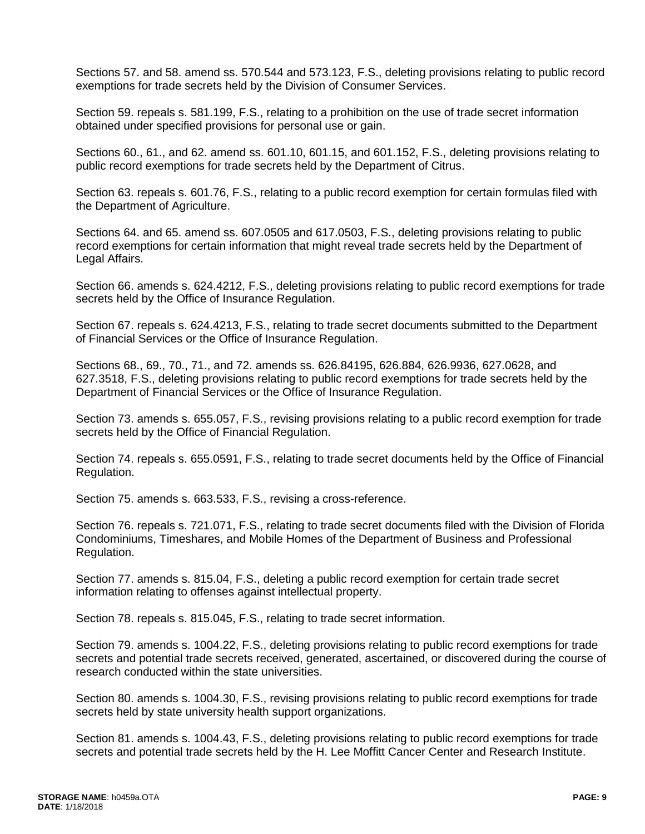Sections 57. and 58. amend ss. 570.544 and 573.123, F.S., deleting provisions relating to public record exemptions for trade secrets held by the Division of Consumer Services.

Section 59. repeals s. 581.199, F.S., relating to a prohibition on the use of trade secret information obtained under specified provisions for personal use or gain.

Sections 60., 61., and 62. amend ss. 601.10, 601.15, and 601.152, F.S., deleting provisions relating to public record exemptions for trade secrets held by the Department of Citrus.

Section 63. repeals s. 601.76, F.S., relating to a public record exemption for certain formulas filed with the Department of Agriculture.

Sections 64. and 65. amend ss. 607.0505 and 617.0503, F.S., deleting provisions relating to public record exemptions for certain information that might reveal trade secrets held by the Department of Legal Affairs.

Section 66. amends s. 624.4212, F.S., deleting provisions relating to public record exemptions for trade secrets held by the Office of Insurance Regulation.

Section 67. repeals s. 624.4213, F.S., relating to trade secret documents submitted to the Department of Financial Services or the Office of Insurance Regulation.

Sections 68., 69., 70., 71., and 72. amends ss. 626.84195, 626.884, 626.9936, 627.0628, and 627.3518, F.S., deleting provisions relating to public record exemptions for trade secrets held by the Department of Financial Services or the Office of Insurance Regulation.

Section 73. amends s. 655.057, F.S., revising provisions relating to a public record exemption for trade secrets held by the Office of Financial Regulation.

Section 74. repeals s. 655.0591, F.S., relating to trade secret documents held by the Office of Financial Regulation.

Section 75. amends s. 663.533, F.S., revising a cross-reference.

Section 76. repeals s. 721.071, F.S., relating to trade secret documents filed with the Division of Florida Condominiums, Timeshares, and Mobile Homes of the Department of Business and Professional Regulation.

Section 77. amends s. 815.04, F.S., deleting a public record exemption for certain trade secret information relating to offenses against intellectual property.

Section 78. repeals s. 815.045, F.S., relating to trade secret information.

Section 79. amends s. 1004.22, F.S., deleting provisions relating to public record exemptions for trade secrets and potential trade secrets received, generated, ascertained, or discovered during the course of research conducted within the state universities.

Section 80. amends s. 1004.30, F.S., revising provisions relating to public record exemptions for trade secrets held by state university health support organizations.

Section 81. amends s. 1004.43, F.S., deleting provisions relating to public record exemptions for trade secrets and potential trade secrets held by the H. Lee Moffitt Cancer Center and Research Institute.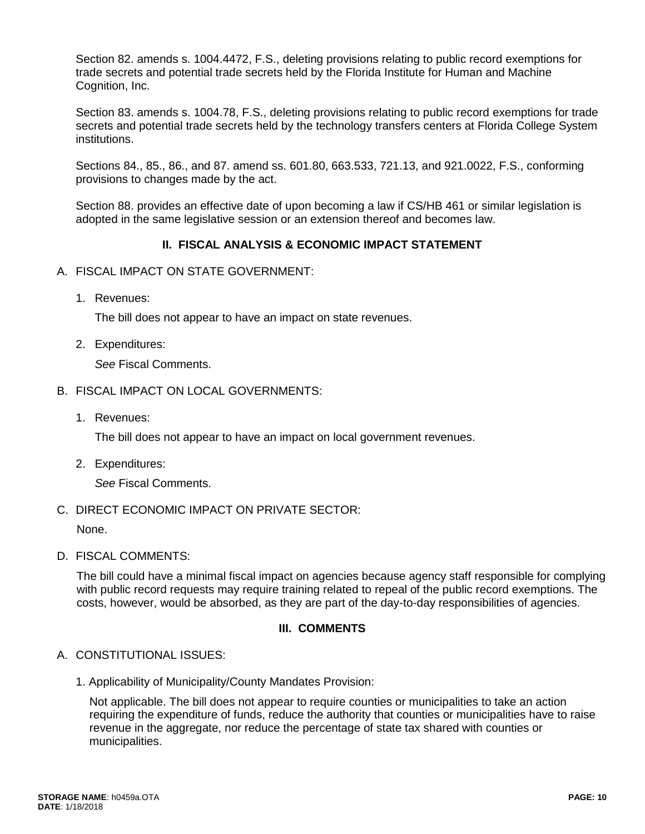Section 82. amends s. 1004.4472, F.S., deleting provisions relating to public record exemptions for trade secrets and potential trade secrets held by the Florida Institute for Human and Machine Cognition, Inc.

Section 83. amends s. 1004.78, F.S., deleting provisions relating to public record exemptions for trade secrets and potential trade secrets held by the technology transfers centers at Florida College System institutions.

Sections 84., 85., 86., and 87. amend ss. 601.80, 663.533, 721.13, and 921.0022, F.S., conforming provisions to changes made by the act.

Section 88. provides an effective date of upon becoming a law if CS/HB 461 or similar legislation is adopted in the same legislative session or an extension thereof and becomes law.

# **II. FISCAL ANALYSIS & ECONOMIC IMPACT STATEMENT**

- A. FISCAL IMPACT ON STATE GOVERNMENT:
	- 1. Revenues:

The bill does not appear to have an impact on state revenues.

2. Expenditures:

*See* Fiscal Comments.

- B. FISCAL IMPACT ON LOCAL GOVERNMENTS:
	- 1. Revenues:

The bill does not appear to have an impact on local government revenues.

2. Expenditures:

*See* Fiscal Comments.

# C. DIRECT ECONOMIC IMPACT ON PRIVATE SECTOR:

None.

D. FISCAL COMMENTS:

The bill could have a minimal fiscal impact on agencies because agency staff responsible for complying with public record requests may require training related to repeal of the public record exemptions. The costs, however, would be absorbed, as they are part of the day-to-day responsibilities of agencies.

# **III. COMMENTS**

# A. CONSTITUTIONAL ISSUES:

1. Applicability of Municipality/County Mandates Provision:

Not applicable. The bill does not appear to require counties or municipalities to take an action requiring the expenditure of funds, reduce the authority that counties or municipalities have to raise revenue in the aggregate, nor reduce the percentage of state tax shared with counties or municipalities.